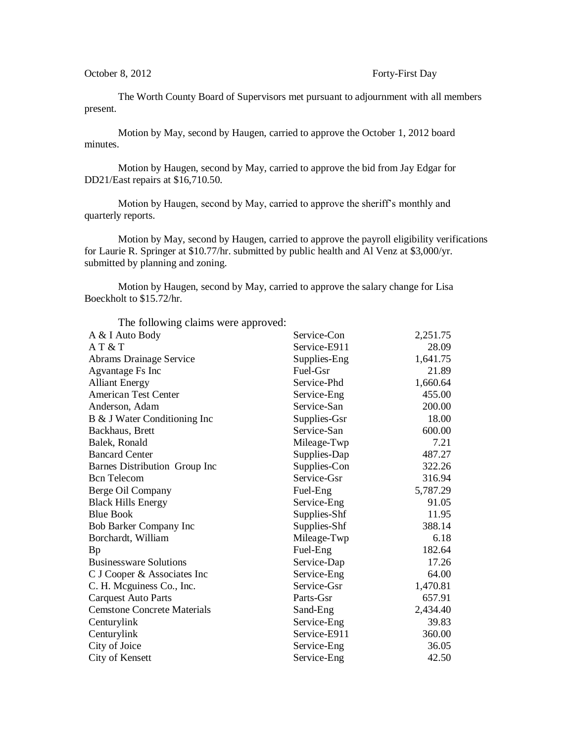The Worth County Board of Supervisors met pursuant to adjournment with all members present.

Motion by May, second by Haugen, carried to approve the October 1, 2012 board minutes.

Motion by Haugen, second by May, carried to approve the bid from Jay Edgar for DD21/East repairs at \$16,710.50.

Motion by Haugen, second by May, carried to approve the sheriff's monthly and quarterly reports.

Motion by May, second by Haugen, carried to approve the payroll eligibility verifications for Laurie R. Springer at \$10.77/hr. submitted by public health and Al Venz at \$3,000/yr. submitted by planning and zoning.

Motion by Haugen, second by May, carried to approve the salary change for Lisa Boeckholt to \$15.72/hr.

| The following claims were approved: |              |          |
|-------------------------------------|--------------|----------|
| A & I Auto Body                     | Service-Con  | 2,251.75 |
| AT & T                              | Service-E911 | 28.09    |
| Abrams Drainage Service             | Supplies-Eng | 1,641.75 |
| Agvantage Fs Inc                    | Fuel-Gsr     | 21.89    |
| <b>Alliant Energy</b>               | Service-Phd  | 1,660.64 |
| <b>American Test Center</b>         | Service-Eng  | 455.00   |
| Anderson, Adam                      | Service-San  | 200.00   |
| B & J Water Conditioning Inc        | Supplies-Gsr | 18.00    |
| Backhaus, Brett                     | Service-San  | 600.00   |
| Balek, Ronald                       | Mileage-Twp  | 7.21     |
| <b>Bancard Center</b>               | Supplies-Dap | 487.27   |
| Barnes Distribution Group Inc       | Supplies-Con | 322.26   |
| <b>Bcn</b> Telecom                  | Service-Gsr  | 316.94   |
| Berge Oil Company                   | Fuel-Eng     | 5,787.29 |
| <b>Black Hills Energy</b>           | Service-Eng  | 91.05    |
| <b>Blue Book</b>                    | Supplies-Shf | 11.95    |
| Bob Barker Company Inc              | Supplies-Shf | 388.14   |
| Borchardt, William                  | Mileage-Twp  | 6.18     |
| Bp                                  | Fuel-Eng     | 182.64   |
| <b>Businessware Solutions</b>       | Service-Dap  | 17.26    |
| C J Cooper & Associates Inc         | Service-Eng  | 64.00    |
| C. H. Mcguiness Co., Inc.           | Service-Gsr  | 1,470.81 |
| <b>Carquest Auto Parts</b>          | Parts-Gsr    | 657.91   |
| <b>Cemstone Concrete Materials</b>  | Sand-Eng     | 2,434.40 |
| Centurylink                         | Service-Eng  | 39.83    |
| Centurylink                         | Service-E911 | 360.00   |
| City of Joice                       | Service-Eng  | 36.05    |
| City of Kensett                     | Service-Eng  | 42.50    |
|                                     |              |          |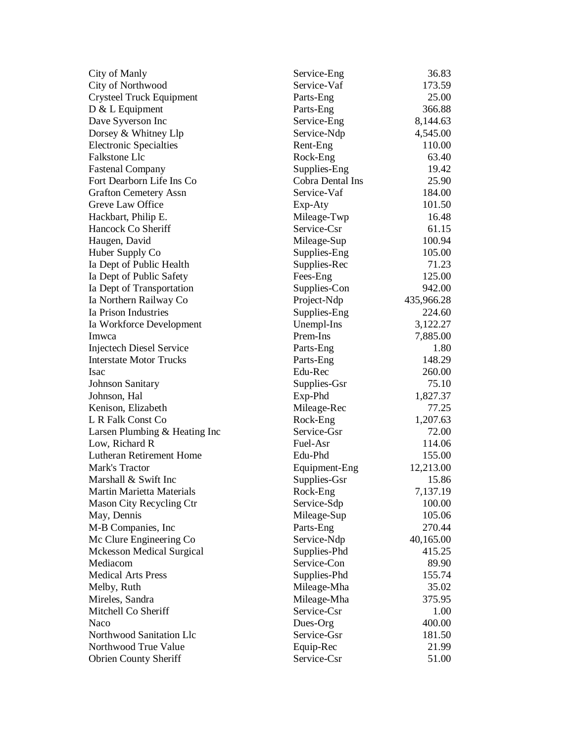| City of Manly                    | Service-Eng      | 36.83      |
|----------------------------------|------------------|------------|
| City of Northwood                | Service-Vaf      | 173.59     |
| <b>Crysteel Truck Equipment</b>  | Parts-Eng        | 25.00      |
| $D & L$ Equipment                | Parts-Eng        | 366.88     |
| Dave Syverson Inc                | Service-Eng      | 8,144.63   |
| Dorsey & Whitney Llp             | Service-Ndp      | 4,545.00   |
| <b>Electronic Specialties</b>    | Rent-Eng         | 110.00     |
| Falkstone Llc                    | Rock-Eng         | 63.40      |
| <b>Fastenal Company</b>          | Supplies-Eng     | 19.42      |
| Fort Dearborn Life Ins Co        | Cobra Dental Ins | 25.90      |
| <b>Grafton Cemetery Assn</b>     | Service-Vaf      | 184.00     |
| Greve Law Office                 | Exp-Aty          | 101.50     |
| Hackbart, Philip E.              | Mileage-Twp      | 16.48      |
| Hancock Co Sheriff               | Service-Csr      | 61.15      |
| Haugen, David                    | Mileage-Sup      | 100.94     |
| Huber Supply Co                  | Supplies-Eng     | 105.00     |
| Ia Dept of Public Health         | Supplies-Rec     | 71.23      |
| Ia Dept of Public Safety         | Fees-Eng         | 125.00     |
| Ia Dept of Transportation        | Supplies-Con     | 942.00     |
| Ia Northern Railway Co           | Project-Ndp      | 435,966.28 |
| Ia Prison Industries             | Supplies-Eng     | 224.60     |
| Ia Workforce Development         | Unempl-Ins       | 3,122.27   |
| Imwca                            | Prem-Ins         | 7,885.00   |
| <b>Injectech Diesel Service</b>  | Parts-Eng        | 1.80       |
| <b>Interstate Motor Trucks</b>   | Parts-Eng        | 148.29     |
| Isac                             | Edu-Rec          | 260.00     |
| <b>Johnson Sanitary</b>          | Supplies-Gsr     | 75.10      |
| Johnson, Hal                     | Exp-Phd          | 1,827.37   |
| Kenison, Elizabeth               | Mileage-Rec      | 77.25      |
| L R Falk Const Co                | Rock-Eng         | 1,207.63   |
| Larsen Plumbing & Heating Inc    | Service-Gsr      | 72.00      |
| Low, Richard R                   | Fuel-Asr         | 114.06     |
| Lutheran Retirement Home         | Edu-Phd          | 155.00     |
| Mark's Tractor                   | Equipment-Eng    | 12,213.00  |
| Marshall & Swift Inc             | Supplies-Gsr     | 15.86      |
| <b>Martin Marietta Materials</b> | Rock-Eng         | 7,137.19   |
| Mason City Recycling Ctr         | Service-Sdp      | 100.00     |
| May, Dennis                      | Mileage-Sup      | 105.06     |
| M-B Companies, Inc               | Parts-Eng        | 270.44     |
| Mc Clure Engineering Co          | Service-Ndp      | 40,165.00  |
| <b>Mckesson Medical Surgical</b> | Supplies-Phd     | 415.25     |
| Mediacom                         | Service-Con      | 89.90      |
| <b>Medical Arts Press</b>        | Supplies-Phd     | 155.74     |
| Melby, Ruth                      | Mileage-Mha      | 35.02      |
| Mireles, Sandra                  | Mileage-Mha      | 375.95     |
| Mitchell Co Sheriff              | Service-Csr      | 1.00       |
| Naco                             | Dues-Org         | 400.00     |
| Northwood Sanitation Llc         | Service-Gsr      | 181.50     |
| Northwood True Value             | Equip-Rec        | 21.99      |
| <b>Obrien County Sheriff</b>     | Service-Csr      | 51.00      |